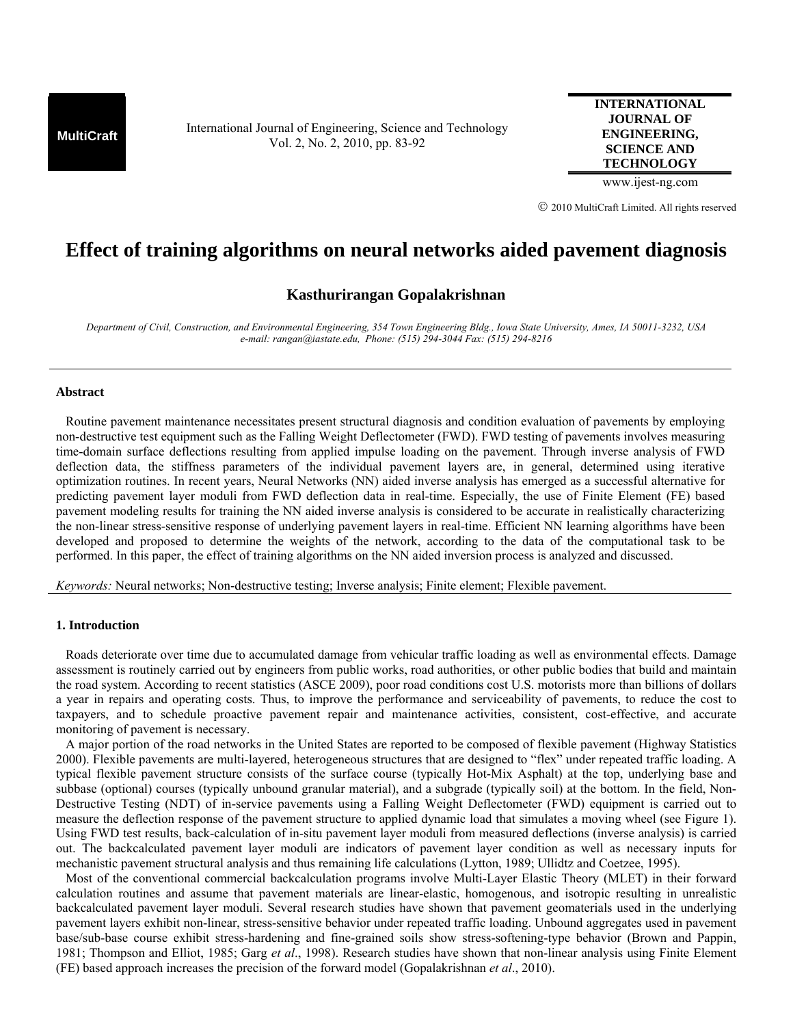**MultiCraft** International Journal of Engineering, Science and Technology Vol. 2, No. 2, 2010, pp. 83-92

**INTERNATIONAL JOURNAL OF ENGINEERING, SCIENCE AND TECHNOLOGY**

www.ijest-ng.com

© 2010 MultiCraft Limited. All rights reserved

# **Effect of training algorithms on neural networks aided pavement diagnosis**

# **Kasthurirangan Gopalakrishnan**

*Department of Civil, Construction, and Environmental Engineering, 354 Town Engineering Bldg., Iowa State University, Ames, IA 50011-3232, USA e-mail: rangan@iastate.edu, Phone: (515) 294-3044 Fax: (515) 294-8216* 

## **Abstract**

 Routine pavement maintenance necessitates present structural diagnosis and condition evaluation of pavements by employing non-destructive test equipment such as the Falling Weight Deflectometer (FWD). FWD testing of pavements involves measuring time-domain surface deflections resulting from applied impulse loading on the pavement. Through inverse analysis of FWD deflection data, the stiffness parameters of the individual pavement layers are, in general, determined using iterative optimization routines. In recent years, Neural Networks (NN) aided inverse analysis has emerged as a successful alternative for predicting pavement layer moduli from FWD deflection data in real-time. Especially, the use of Finite Element (FE) based pavement modeling results for training the NN aided inverse analysis is considered to be accurate in realistically characterizing the non-linear stress-sensitive response of underlying pavement layers in real-time. Efficient NN learning algorithms have been developed and proposed to determine the weights of the network, according to the data of the computational task to be performed. In this paper, the effect of training algorithms on the NN aided inversion process is analyzed and discussed.

*Keywords:* Neural networks; Non-destructive testing; Inverse analysis; Finite element; Flexible pavement.

### **1. Introduction**

 Roads deteriorate over time due to accumulated damage from vehicular traffic loading as well as environmental effects. Damage assessment is routinely carried out by engineers from public works, road authorities, or other public bodies that build and maintain the road system. According to recent statistics (ASCE 2009), poor road conditions cost U.S. motorists more than billions of dollars a year in repairs and operating costs. Thus, to improve the performance and serviceability of pavements, to reduce the cost to taxpayers, and to schedule proactive pavement repair and maintenance activities, consistent, cost-effective, and accurate monitoring of pavement is necessary.

 A major portion of the road networks in the United States are reported to be composed of flexible pavement (Highway Statistics 2000). Flexible pavements are multi-layered, heterogeneous structures that are designed to "flex" under repeated traffic loading. A typical flexible pavement structure consists of the surface course (typically Hot-Mix Asphalt) at the top, underlying base and subbase (optional) courses (typically unbound granular material), and a subgrade (typically soil) at the bottom. In the field, Non-Destructive Testing (NDT) of in-service pavements using a Falling Weight Deflectometer (FWD) equipment is carried out to measure the deflection response of the pavement structure to applied dynamic load that simulates a moving wheel (see Figure 1). Using FWD test results, back-calculation of in-situ pavement layer moduli from measured deflections (inverse analysis) is carried out. The backcalculated pavement layer moduli are indicators of pavement layer condition as well as necessary inputs for mechanistic pavement structural analysis and thus remaining life calculations (Lytton, 1989; Ullidtz and Coetzee, 1995).

 Most of the conventional commercial backcalculation programs involve Multi-Layer Elastic Theory (MLET) in their forward calculation routines and assume that pavement materials are linear-elastic, homogenous, and isotropic resulting in unrealistic backcalculated pavement layer moduli. Several research studies have shown that pavement geomaterials used in the underlying pavement layers exhibit non-linear, stress-sensitive behavior under repeated traffic loading. Unbound aggregates used in pavement base/sub-base course exhibit stress-hardening and fine-grained soils show stress-softening-type behavior (Brown and Pappin, 1981; Thompson and Elliot, 1985; Garg *et al*., 1998). Research studies have shown that non-linear analysis using Finite Element (FE) based approach increases the precision of the forward model (Gopalakrishnan *et al*., 2010).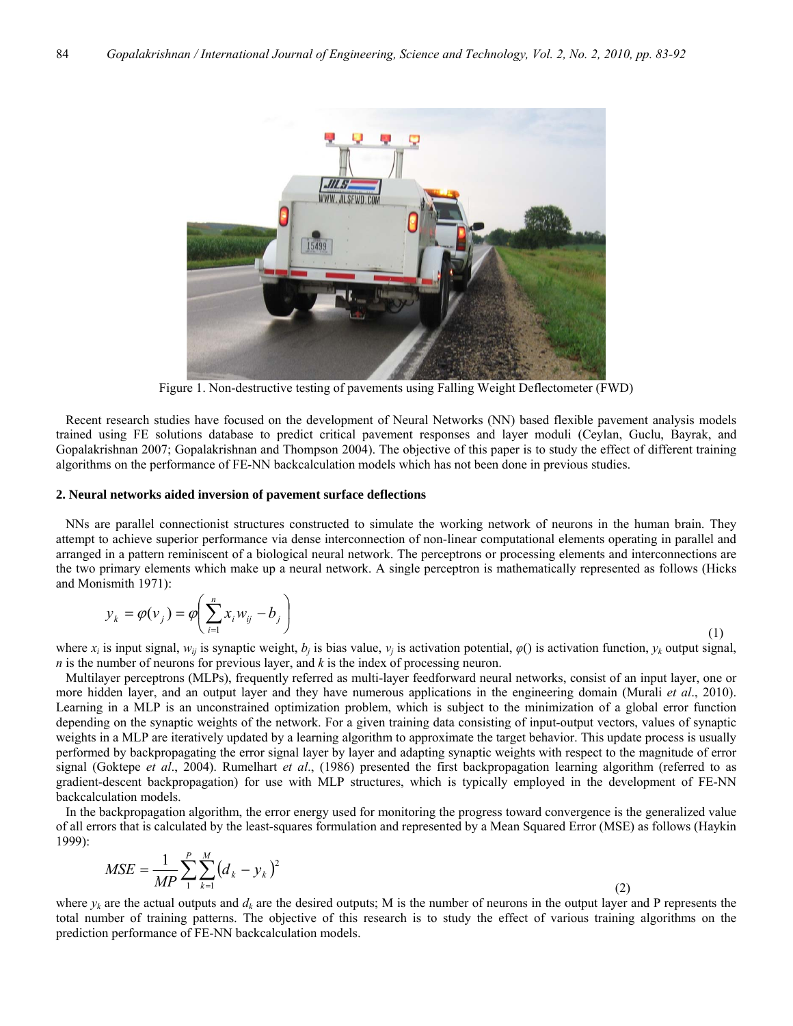

Figure 1. Non-destructive testing of pavements using Falling Weight Deflectometer (FWD)

 Recent research studies have focused on the development of Neural Networks (NN) based flexible pavement analysis models trained using FE solutions database to predict critical pavement responses and layer moduli (Ceylan, Guclu, Bayrak, and Gopalakrishnan 2007; Gopalakrishnan and Thompson 2004). The objective of this paper is to study the effect of different training algorithms on the performance of FE-NN backcalculation models which has not been done in previous studies.

#### **2. Neural networks aided inversion of pavement surface deflections**

 NNs are parallel connectionist structures constructed to simulate the working network of neurons in the human brain. They attempt to achieve superior performance via dense interconnection of non-linear computational elements operating in parallel and arranged in a pattern reminiscent of a biological neural network. The perceptrons or processing elements and interconnections are the two primary elements which make up a neural network. A single perceptron is mathematically represented as follows (Hicks and Monismith 1971):

$$
y_k = \varphi(v_j) = \varphi\left(\sum_{i=1}^n x_i w_{ij} - b_j\right)
$$
\n<sup>(1)</sup>

where  $x_i$  is input signal,  $w_{ii}$  is synaptic weight,  $b_i$  is bias value,  $v_i$  is activation potential,  $\varphi(i)$  is activation function,  $y_k$  output signal, *n* is the number of neurons for previous layer, and *k* is the index of processing neuron.

 Multilayer perceptrons (MLPs), frequently referred as multi-layer feedforward neural networks, consist of an input layer, one or more hidden layer, and an output layer and they have numerous applications in the engineering domain (Murali *et al*., 2010). Learning in a MLP is an unconstrained optimization problem, which is subject to the minimization of a global error function depending on the synaptic weights of the network. For a given training data consisting of input-output vectors, values of synaptic weights in a MLP are iteratively updated by a learning algorithm to approximate the target behavior. This update process is usually performed by backpropagating the error signal layer by layer and adapting synaptic weights with respect to the magnitude of error signal (Goktepe *et al*., 2004). Rumelhart *et al*., (1986) presented the first backpropagation learning algorithm (referred to as gradient-descent backpropagation) for use with MLP structures, which is typically employed in the development of FE-NN backcalculation models.

 In the backpropagation algorithm, the error energy used for monitoring the progress toward convergence is the generalized value of all errors that is calculated by the least-squares formulation and represented by a Mean Squared Error (MSE) as follows (Haykin 1999):

$$
MSE = \frac{1}{MP} \sum_{1}^{P} \sum_{k=1}^{M} (d_k - y_k)^2
$$
 (2)

where  $y_k$  are the actual outputs and  $d_k$  are the desired outputs; M is the number of neurons in the output layer and P represents the total number of training patterns. The objective of this research is to study the effect of various training algorithms on the prediction performance of FE-NN backcalculation models.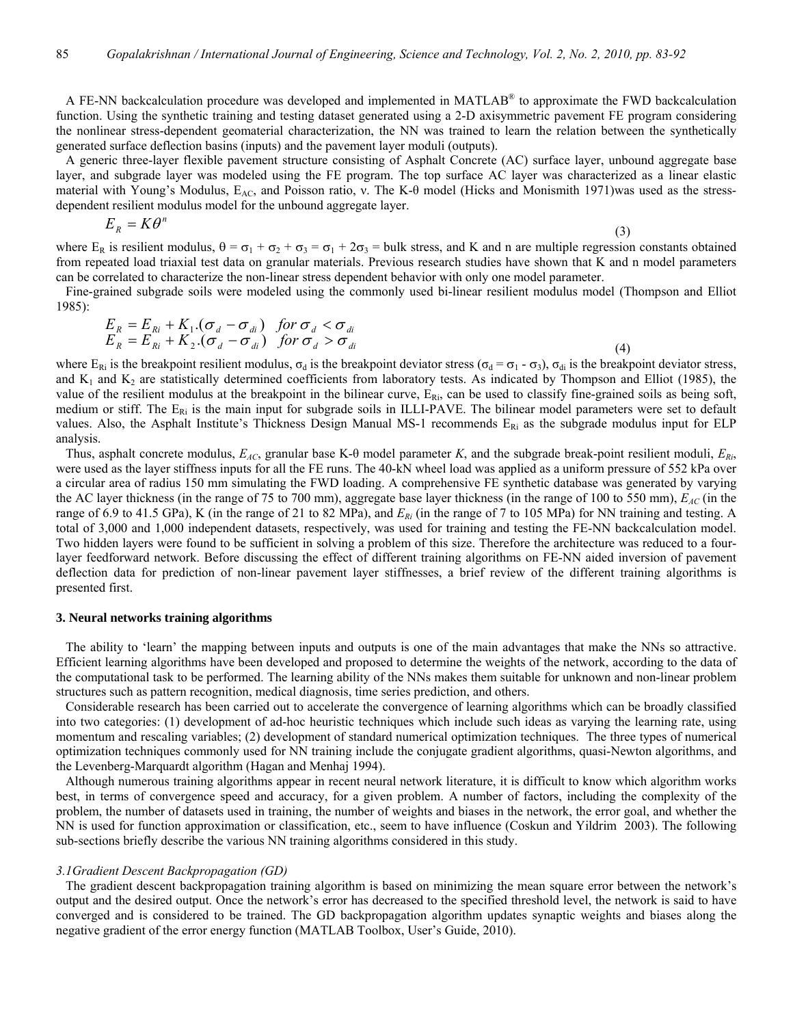A FE-NN backcalculation procedure was developed and implemented in MATLAB® to approximate the FWD backcalculation function. Using the synthetic training and testing dataset generated using a 2-D axisymmetric pavement FE program considering the nonlinear stress-dependent geomaterial characterization, the NN was trained to learn the relation between the synthetically generated surface deflection basins (inputs) and the pavement layer moduli (outputs).

 A generic three-layer flexible pavement structure consisting of Asphalt Concrete (AC) surface layer, unbound aggregate base layer, and subgrade layer was modeled using the FE program. The top surface AC layer was characterized as a linear elastic material with Young's Modulus, E<sub>AC</sub>, and Poisson ratio, ν. The K-θ model (Hicks and Monismith 1971)was used as the stressdependent resilient modulus model for the unbound aggregate layer.

$$
E_R = K\theta^n \tag{3}
$$

where  $E_R$  is resilient modulus,  $\theta = \sigma_1 + \sigma_2 + \sigma_3 = \sigma_1 + 2\sigma_3$  = bulk stress, and K and n are multiple regression constants obtained from repeated load triaxial test data on granular materials. Previous research studies have shown that K and n model parameters can be correlated to characterize the non-linear stress dependent behavior with only one model parameter.

 Fine-grained subgrade soils were modeled using the commonly used bi-linear resilient modulus model (Thompson and Elliot 1985):

$$
E_R = E_{Ri} + K_1 . (\sigma_d - \sigma_{di}) \quad \text{for } \sigma_d < \sigma_{di}
$$
  
\n
$$
E_R = E_{Ri} + K_2 . (\sigma_d - \sigma_{di}) \quad \text{for } \sigma_d > \sigma_{di}
$$
\n(4)

where  $E_{\text{Ri}}$  is the breakpoint resilient modulus,  $\sigma_d$  is the breakpoint deviator stress ( $\sigma_d = \sigma_1 - \sigma_3$ ),  $\sigma_{di}$  is the breakpoint deviator stress, and  $K_1$  and  $K_2$  are statistically determined coefficients from laboratory tests. As indicated by Thompson and Elliot (1985), the value of the resilient modulus at the breakpoint in the bilinear curve,  $E_{\text{Ri}}$ , can be used to classify fine-grained soils as being soft, medium or stiff. The  $E_{Ri}$  is the main input for subgrade soils in ILLI-PAVE. The bilinear model parameters were set to default values. Also, the Asphalt Institute's Thickness Design Manual MS-1 recommends  $E_{Ri}$  as the subgrade modulus input for ELP analysis.

 Thus, asphalt concrete modulus, *EAC*, granular base K-θ model parameter *K*, and the subgrade break-point resilient moduli, *ERi*, were used as the layer stiffness inputs for all the FE runs. The 40-kN wheel load was applied as a uniform pressure of 552 kPa over a circular area of radius 150 mm simulating the FWD loading. A comprehensive FE synthetic database was generated by varying the AC layer thickness (in the range of 75 to 700 mm), aggregate base layer thickness (in the range of 100 to 550 mm),  $E_{AC}$  (in the range of 6.9 to 41.5 GPa), K (in the range of 21 to 82 MPa), and *ERi* (in the range of 7 to 105 MPa) for NN training and testing. A total of 3,000 and 1,000 independent datasets, respectively, was used for training and testing the FE-NN backcalculation model. Two hidden layers were found to be sufficient in solving a problem of this size. Therefore the architecture was reduced to a fourlayer feedforward network. Before discussing the effect of different training algorithms on FE-NN aided inversion of pavement deflection data for prediction of non-linear pavement layer stiffnesses, a brief review of the different training algorithms is presented first.

#### **3. Neural networks training algorithms**

 The ability to 'learn' the mapping between inputs and outputs is one of the main advantages that make the NNs so attractive. Efficient learning algorithms have been developed and proposed to determine the weights of the network, according to the data of the computational task to be performed. The learning ability of the NNs makes them suitable for unknown and non-linear problem structures such as pattern recognition, medical diagnosis, time series prediction, and others.

 Considerable research has been carried out to accelerate the convergence of learning algorithms which can be broadly classified into two categories: (1) development of ad-hoc heuristic techniques which include such ideas as varying the learning rate, using momentum and rescaling variables; (2) development of standard numerical optimization techniques. The three types of numerical optimization techniques commonly used for NN training include the conjugate gradient algorithms, quasi-Newton algorithms, and the Levenberg-Marquardt algorithm (Hagan and Menhaj 1994).

 Although numerous training algorithms appear in recent neural network literature, it is difficult to know which algorithm works best, in terms of convergence speed and accuracy, for a given problem. A number of factors, including the complexity of the problem, the number of datasets used in training, the number of weights and biases in the network, the error goal, and whether the NN is used for function approximation or classification, etc., seem to have influence (Coskun and Yildrim 2003). The following sub-sections briefly describe the various NN training algorithms considered in this study.

#### *3.1Gradient Descent Backpropagation (GD)*

 The gradient descent backpropagation training algorithm is based on minimizing the mean square error between the network's output and the desired output. Once the network's error has decreased to the specified threshold level, the network is said to have converged and is considered to be trained. The GD backpropagation algorithm updates synaptic weights and biases along the negative gradient of the error energy function (MATLAB Toolbox, User's Guide, 2010).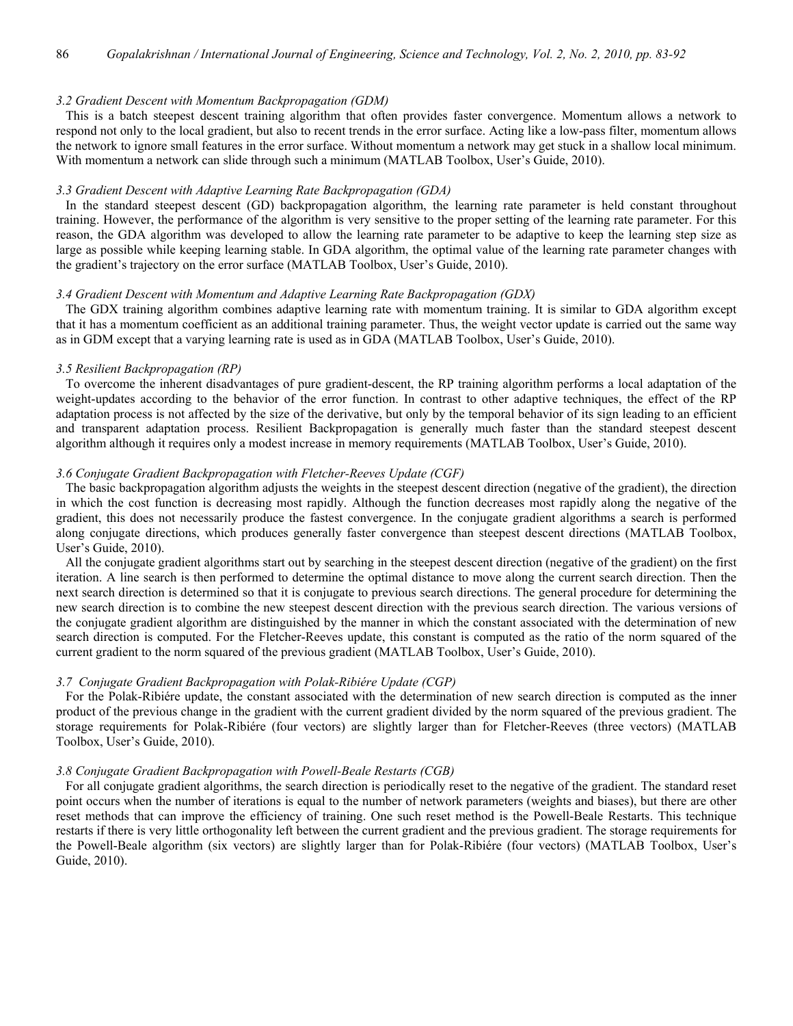# *3.2 Gradient Descent with Momentum Backpropagation (GDM)*

 This is a batch steepest descent training algorithm that often provides faster convergence. Momentum allows a network to respond not only to the local gradient, but also to recent trends in the error surface. Acting like a low-pass filter, momentum allows the network to ignore small features in the error surface. Without momentum a network may get stuck in a shallow local minimum. With momentum a network can slide through such a minimum (MATLAB Toolbox, User's Guide, 2010).

## *3.3 Gradient Descent with Adaptive Learning Rate Backpropagation (GDA)*

 In the standard steepest descent (GD) backpropagation algorithm, the learning rate parameter is held constant throughout training. However, the performance of the algorithm is very sensitive to the proper setting of the learning rate parameter. For this reason, the GDA algorithm was developed to allow the learning rate parameter to be adaptive to keep the learning step size as large as possible while keeping learning stable. In GDA algorithm, the optimal value of the learning rate parameter changes with the gradient's trajectory on the error surface (MATLAB Toolbox, User's Guide, 2010).

# *3.4 Gradient Descent with Momentum and Adaptive Learning Rate Backpropagation (GDX)*

 The GDX training algorithm combines adaptive learning rate with momentum training. It is similar to GDA algorithm except that it has a momentum coefficient as an additional training parameter. Thus, the weight vector update is carried out the same way as in GDM except that a varying learning rate is used as in GDA (MATLAB Toolbox, User's Guide, 2010).

#### *3.5 Resilient Backpropagation (RP)*

 To overcome the inherent disadvantages of pure gradient-descent, the RP training algorithm performs a local adaptation of the weight-updates according to the behavior of the error function. In contrast to other adaptive techniques, the effect of the RP adaptation process is not affected by the size of the derivative, but only by the temporal behavior of its sign leading to an efficient and transparent adaptation process. Resilient Backpropagation is generally much faster than the standard steepest descent algorithm although it requires only a modest increase in memory requirements (MATLAB Toolbox, User's Guide, 2010).

# *3.6 Conjugate Gradient Backpropagation with Fletcher-Reeves Update (CGF)*

 The basic backpropagation algorithm adjusts the weights in the steepest descent direction (negative of the gradient), the direction in which the cost function is decreasing most rapidly. Although the function decreases most rapidly along the negative of the gradient, this does not necessarily produce the fastest convergence. In the conjugate gradient algorithms a search is performed along conjugate directions, which produces generally faster convergence than steepest descent directions (MATLAB Toolbox, User's Guide, 2010).

 All the conjugate gradient algorithms start out by searching in the steepest descent direction (negative of the gradient) on the first iteration. A line search is then performed to determine the optimal distance to move along the current search direction. Then the next search direction is determined so that it is conjugate to previous search directions. The general procedure for determining the new search direction is to combine the new steepest descent direction with the previous search direction. The various versions of the conjugate gradient algorithm are distinguished by the manner in which the constant associated with the determination of new search direction is computed. For the Fletcher-Reeves update, this constant is computed as the ratio of the norm squared of the current gradient to the norm squared of the previous gradient (MATLAB Toolbox, User's Guide, 2010).

#### *3.7 Conjugate Gradient Backpropagation with Polak-Ribiére Update (CGP)*

 For the Polak-Ribiére update, the constant associated with the determination of new search direction is computed as the inner product of the previous change in the gradient with the current gradient divided by the norm squared of the previous gradient. The storage requirements for Polak-Ribiére (four vectors) are slightly larger than for Fletcher-Reeves (three vectors) (MATLAB Toolbox, User's Guide, 2010).

# *3.8 Conjugate Gradient Backpropagation with Powell-Beale Restarts (CGB)*

 For all conjugate gradient algorithms, the search direction is periodically reset to the negative of the gradient. The standard reset point occurs when the number of iterations is equal to the number of network parameters (weights and biases), but there are other reset methods that can improve the efficiency of training. One such reset method is the Powell-Beale Restarts. This technique restarts if there is very little orthogonality left between the current gradient and the previous gradient. The storage requirements for the Powell-Beale algorithm (six vectors) are slightly larger than for Polak-Ribiére (four vectors) (MATLAB Toolbox, User's Guide, 2010).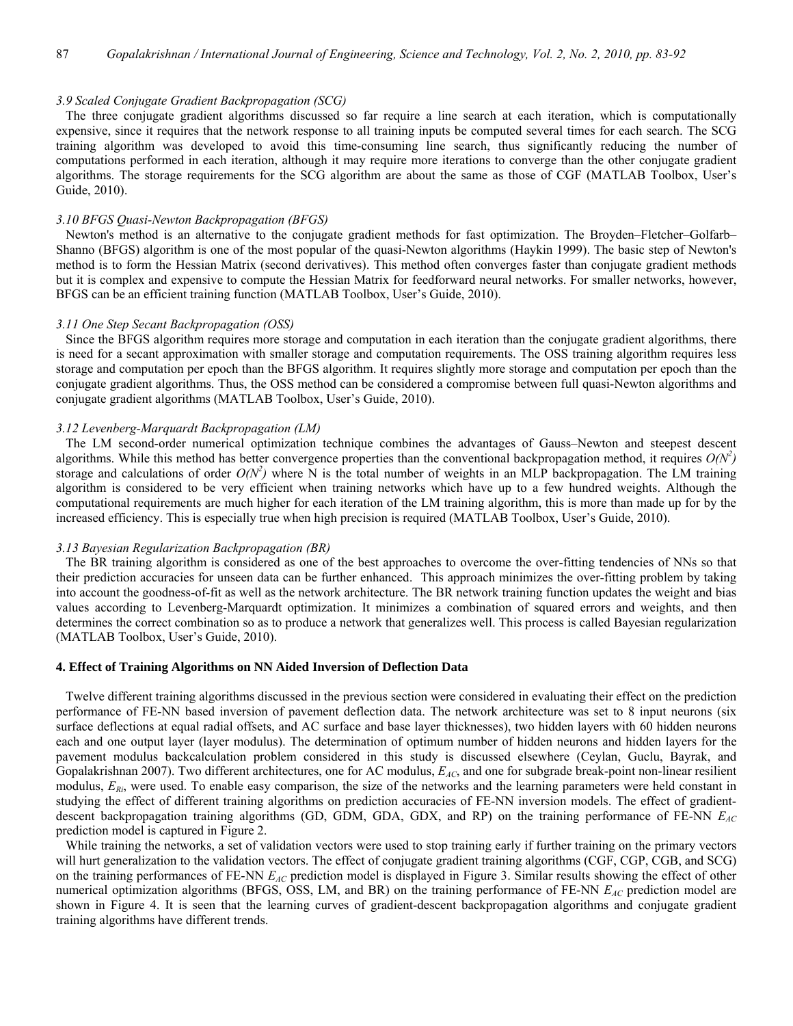#### *3.9 Scaled Conjugate Gradient Backpropagation (SCG)*

 The three conjugate gradient algorithms discussed so far require a line search at each iteration, which is computationally expensive, since it requires that the network response to all training inputs be computed several times for each search. The SCG training algorithm was developed to avoid this time-consuming line search, thus significantly reducing the number of computations performed in each iteration, although it may require more iterations to converge than the other conjugate gradient algorithms. The storage requirements for the SCG algorithm are about the same as those of CGF (MATLAB Toolbox, User's Guide, 2010).

## *3.10 BFGS Quasi-Newton Backpropagation (BFGS)*

 Newton's method is an alternative to the conjugate gradient methods for fast optimization. The Broyden–Fletcher–Golfarb– Shanno (BFGS) algorithm is one of the most popular of the quasi-Newton algorithms (Haykin 1999). The basic step of Newton's method is to form the Hessian Matrix (second derivatives). This method often converges faster than conjugate gradient methods but it is complex and expensive to compute the Hessian Matrix for feedforward neural networks. For smaller networks, however, BFGS can be an efficient training function (MATLAB Toolbox, User's Guide, 2010).

#### *3.11 One Step Secant Backpropagation (OSS)*

 Since the BFGS algorithm requires more storage and computation in each iteration than the conjugate gradient algorithms, there is need for a secant approximation with smaller storage and computation requirements. The OSS training algorithm requires less storage and computation per epoch than the BFGS algorithm. It requires slightly more storage and computation per epoch than the conjugate gradient algorithms. Thus, the OSS method can be considered a compromise between full quasi-Newton algorithms and conjugate gradient algorithms (MATLAB Toolbox, User's Guide, 2010).

## *3.12 Levenberg-Marquardt Backpropagation (LM)*

 The LM second-order numerical optimization technique combines the advantages of Gauss–Newton and steepest descent algorithms. While this method has better convergence properties than the conventional backpropagation method, it requires  $O(N^2)$ storage and calculations of order  $O(N^2)$  where N is the total number of weights in an MLP backpropagation. The LM training algorithm is considered to be very efficient when training networks which have up to a few hundred weights. Although the computational requirements are much higher for each iteration of the LM training algorithm, this is more than made up for by the increased efficiency. This is especially true when high precision is required (MATLAB Toolbox, User's Guide, 2010).

## *3.13 Bayesian Regularization Backpropagation (BR)*

 The BR training algorithm is considered as one of the best approaches to overcome the over-fitting tendencies of NNs so that their prediction accuracies for unseen data can be further enhanced. This approach minimizes the over-fitting problem by taking into account the goodness-of-fit as well as the network architecture. The BR network training function updates the weight and bias values according to Levenberg-Marquardt optimization. It minimizes a combination of squared errors and weights, and then determines the correct combination so as to produce a network that generalizes well. This process is called Bayesian regularization (MATLAB Toolbox, User's Guide, 2010).

#### **4. Effect of Training Algorithms on NN Aided Inversion of Deflection Data**

 Twelve different training algorithms discussed in the previous section were considered in evaluating their effect on the prediction performance of FE-NN based inversion of pavement deflection data. The network architecture was set to 8 input neurons (six surface deflections at equal radial offsets, and AC surface and base layer thicknesses), two hidden layers with 60 hidden neurons each and one output layer (layer modulus). The determination of optimum number of hidden neurons and hidden layers for the pavement modulus backcalculation problem considered in this study is discussed elsewhere (Ceylan, Guclu, Bayrak, and Gopalakrishnan 2007). Two different architectures, one for AC modulus,  $E_{AC}$ , and one for subgrade break-point non-linear resilient modulus,  $E_{Ri}$ , were used. To enable easy comparison, the size of the networks and the learning parameters were held constant in studying the effect of different training algorithms on prediction accuracies of FE-NN inversion models. The effect of gradientdescent backpropagation training algorithms (GD, GDM, GDA, GDX, and RP) on the training performance of FE-NN *EAC* prediction model is captured in Figure 2.

 While training the networks, a set of validation vectors were used to stop training early if further training on the primary vectors will hurt generalization to the validation vectors. The effect of conjugate gradient training algorithms (CGF, CGP, CGB, and SCG) on the training performances of FE-NN *EAC* prediction model is displayed in Figure 3. Similar results showing the effect of other numerical optimization algorithms (BFGS, OSS, LM, and BR) on the training performance of FE-NN  $E_{AC}$  prediction model are shown in Figure 4. It is seen that the learning curves of gradient-descent backpropagation algorithms and conjugate gradient training algorithms have different trends.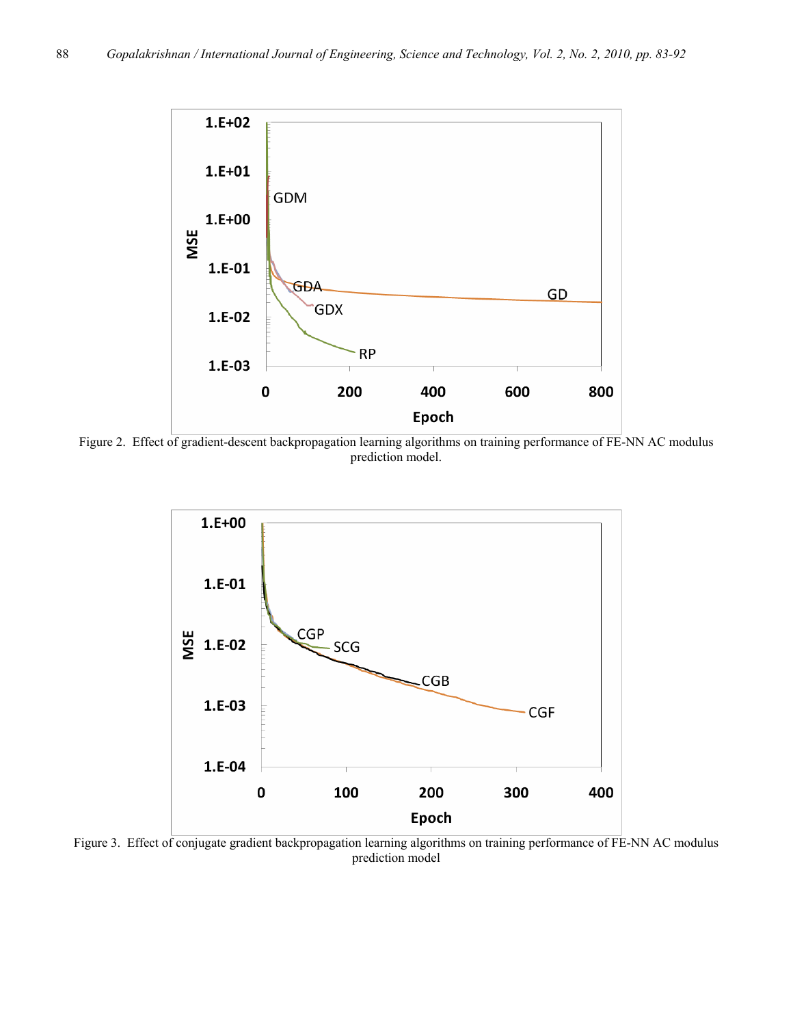

Figure 2. Effect of gradient-descent backpropagation learning algorithms on training performance of FE-NN AC modulus prediction model.



Figure 3. Effect of conjugate gradient backpropagation learning algorithms on training performance of FE-NN AC modulus prediction model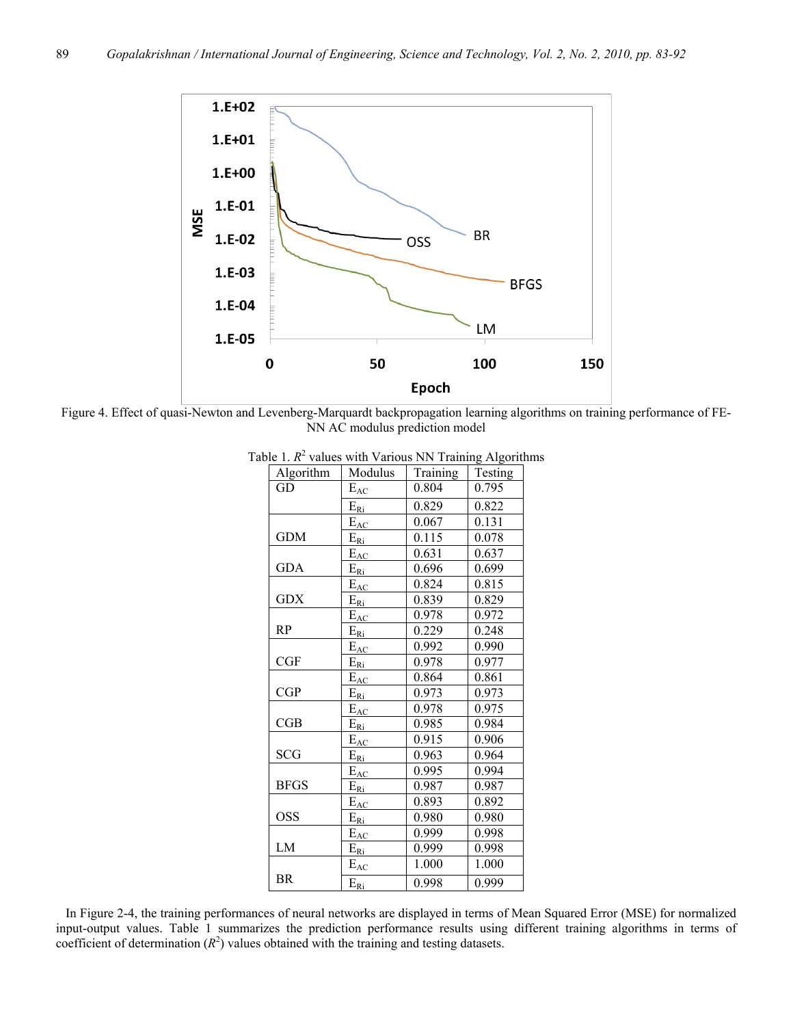

Figure 4. Effect of quasi-Newton and Levenberg-Marquardt backpropagation learning algorithms on training performance of FE-NN AC modulus prediction model

| Algorithm   | Modulus         | Training | $\sigma$ - - $\sigma$ -<br>Testing |
|-------------|-----------------|----------|------------------------------------|
| GD          | $E_{AC}$        | 0.804    | 0.795                              |
|             | $E_{\text{Ri}}$ | 0.829    | 0.822                              |
|             | $E_{AC}$        | 0.067    | 0.131                              |
| <b>GDM</b>  | $E_{\rm Ri}$    | 0.115    | 0.078                              |
|             | $E_{AC}$        | 0.631    | 0.637                              |
| <b>GDA</b>  | $E_{\text{Ri}}$ | 0.696    | 0.699                              |
|             | $E_{AC}$        | 0.824    | 0.815                              |
| <b>GDX</b>  | $E_{\text{Ri}}$ | 0.839    | 0.829                              |
|             | $E_{AC}$        | 0.978    | 0.972                              |
| <b>RP</b>   | $E_{\rm Ri}$    | 0.229    | 0.248                              |
|             | $E_{AC}$        | 0.992    | 0.990                              |
| CGF         | $E_{\rm Ri}$    | 0.978    | 0.977                              |
|             | $E_{AC}$        | 0.864    | 0.861                              |
| CGP         | $E_{\text{Ri}}$ | 0.973    | 0.973                              |
|             | $E_{AC}$        | 0.978    | 0.975                              |
| CGB         | $E_{\text{Ri}}$ | 0.985    | 0.984                              |
|             | $E_{AC}$        | 0.915    | 0.906                              |
| <b>SCG</b>  | $E_{\rm Ri}$    | 0.963    | 0.964                              |
|             | $E_{AC}$        | 0.995    | 0.994                              |
| <b>BFGS</b> | $E_{\rm Ri}$    | 0.987    | 0.987                              |
|             | $E_{AC}$        | 0.893    | 0.892                              |
| <b>OSS</b>  | $E_{\rm Ri}$    | 0.980    | 0.980                              |
|             | $E_{AC}$        | 0.999    | 0.998                              |
| LM          | $E_{\rm Ri}$    | 0.999    | 0.998                              |
|             | $E_{AC}$        | 1.000    | 1.000                              |
| <b>BR</b>   | $E_{\rm Ri}$    | 0.998    | 0.999                              |

Table 1.  $R^2$  values with Various NN Training Algorithms

 In Figure 2-4, the training performances of neural networks are displayed in terms of Mean Squared Error (MSE) for normalized input-output values. Table 1 summarizes the prediction performance results using different training algorithms in terms of coefficient of determination  $(R^2)$  values obtained with the training and testing datasets.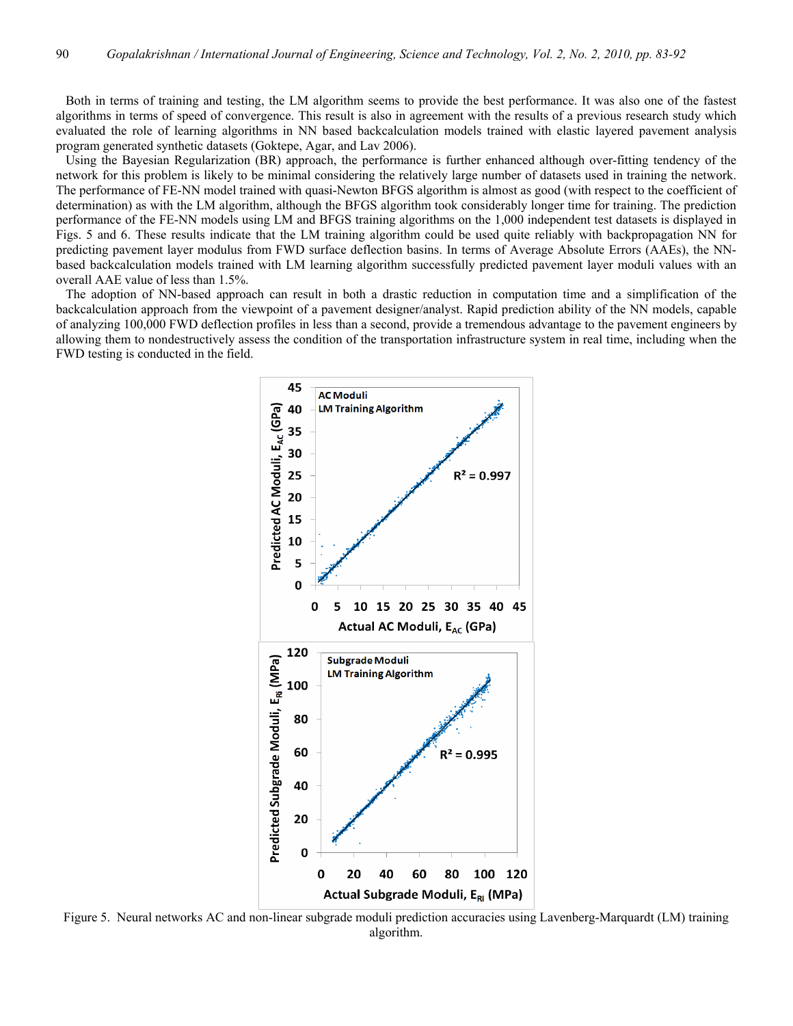Both in terms of training and testing, the LM algorithm seems to provide the best performance. It was also one of the fastest algorithms in terms of speed of convergence. This result is also in agreement with the results of a previous research study which evaluated the role of learning algorithms in NN based backcalculation models trained with elastic layered pavement analysis program generated synthetic datasets (Goktepe, Agar, and Lav 2006).

 Using the Bayesian Regularization (BR) approach, the performance is further enhanced although over-fitting tendency of the network for this problem is likely to be minimal considering the relatively large number of datasets used in training the network. The performance of FE-NN model trained with quasi-Newton BFGS algorithm is almost as good (with respect to the coefficient of determination) as with the LM algorithm, although the BFGS algorithm took considerably longer time for training. The prediction performance of the FE-NN models using LM and BFGS training algorithms on the 1,000 independent test datasets is displayed in Figs. 5 and 6. These results indicate that the LM training algorithm could be used quite reliably with backpropagation NN for predicting pavement layer modulus from FWD surface deflection basins. In terms of Average Absolute Errors (AAEs), the NNbased backcalculation models trained with LM learning algorithm successfully predicted pavement layer moduli values with an overall AAE value of less than 1.5%.

 The adoption of NN-based approach can result in both a drastic reduction in computation time and a simplification of the backcalculation approach from the viewpoint of a pavement designer/analyst. Rapid prediction ability of the NN models, capable of analyzing 100,000 FWD deflection profiles in less than a second, provide a tremendous advantage to the pavement engineers by allowing them to nondestructively assess the condition of the transportation infrastructure system in real time, including when the FWD testing is conducted in the field.



Figure 5. Neural networks AC and non-linear subgrade moduli prediction accuracies using Lavenberg-Marquardt (LM) training algorithm.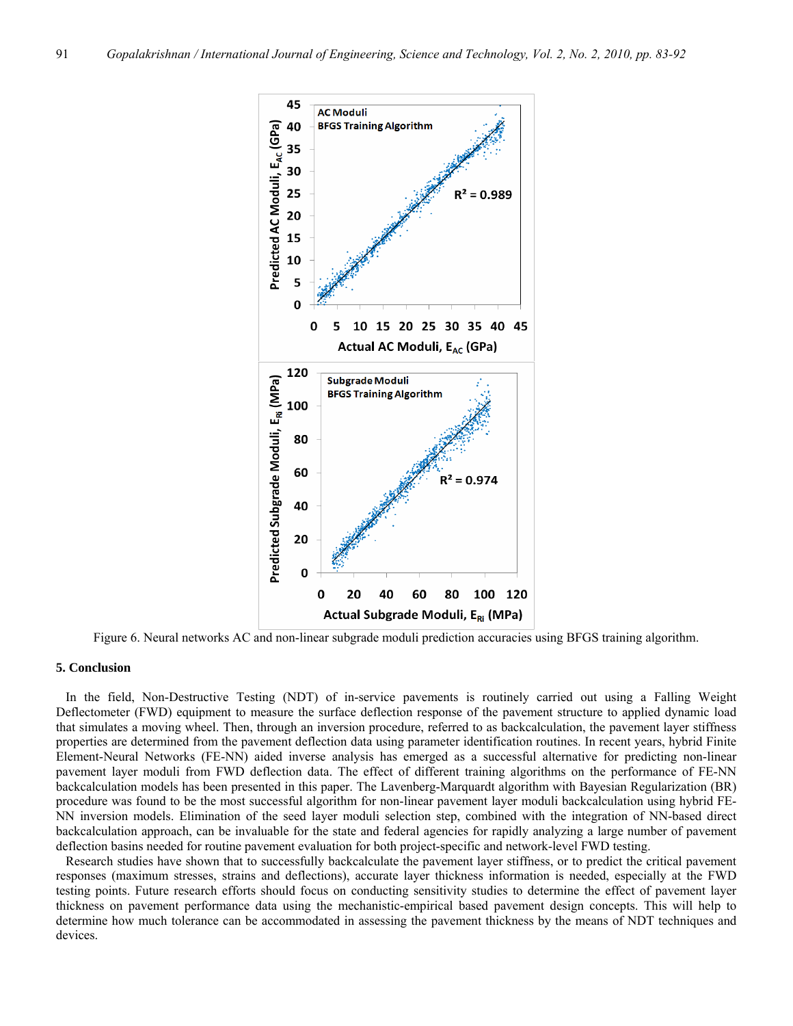

Figure 6. Neural networks AC and non-linear subgrade moduli prediction accuracies using BFGS training algorithm.

## **5. Conclusion**

 In the field, Non-Destructive Testing (NDT) of in-service pavements is routinely carried out using a Falling Weight Deflectometer (FWD) equipment to measure the surface deflection response of the pavement structure to applied dynamic load that simulates a moving wheel. Then, through an inversion procedure, referred to as backcalculation, the pavement layer stiffness properties are determined from the pavement deflection data using parameter identification routines. In recent years, hybrid Finite Element-Neural Networks (FE-NN) aided inverse analysis has emerged as a successful alternative for predicting non-linear pavement layer moduli from FWD deflection data. The effect of different training algorithms on the performance of FE-NN backcalculation models has been presented in this paper. The Lavenberg-Marquardt algorithm with Bayesian Regularization (BR) procedure was found to be the most successful algorithm for non-linear pavement layer moduli backcalculation using hybrid FE-NN inversion models. Elimination of the seed layer moduli selection step, combined with the integration of NN-based direct backcalculation approach, can be invaluable for the state and federal agencies for rapidly analyzing a large number of pavement deflection basins needed for routine pavement evaluation for both project-specific and network-level FWD testing.

 Research studies have shown that to successfully backcalculate the pavement layer stiffness, or to predict the critical pavement responses (maximum stresses, strains and deflections), accurate layer thickness information is needed, especially at the FWD testing points. Future research efforts should focus on conducting sensitivity studies to determine the effect of pavement layer thickness on pavement performance data using the mechanistic-empirical based pavement design concepts. This will help to determine how much tolerance can be accommodated in assessing the pavement thickness by the means of NDT techniques and devices.